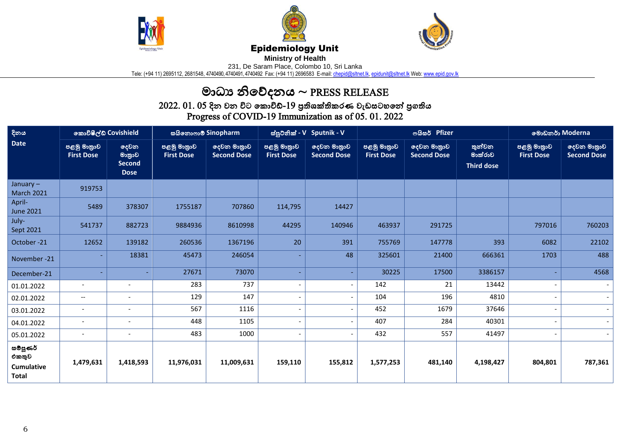





## Epidemiology Unit

**Ministry of Health** 

231, De Saram Place, Colombo 10, Sri Lanka

Tele: (+94 11) 2695112, 2681548, 4740490, 4740491, 4740492 Fax: (+94 11) 2696583 E-mail: <u>chepid@sltnet.lk, [epidunit@sltnet.lk](mailto:epidunit@sltnet.lk)</u> Web: <u>www.epid.gov.lk</u>

## මාධා නිවේදනය  $\sim$  PRESS RELEASE

 $2022.\ 01.\ 05$  දින වන විට කොවිඩ්- $19$  පුතිශක්තිකරණ වැඩසටහනේ පුගතිය Progress of COVID-19 Immunization as of 05. 01. 2022

| දිනය<br><b>Date</b>                                    | කොවිෂීල්ඩ් Covishield            |                                                | සයිනොෆාම් Sinopharm              |                                   | ස්පූට්නික් - V Sputnik - V       |                                   | ගයිසර් Pfizer                    |                                   |                                        | මොඩනර් Moderna                   |                                   |
|--------------------------------------------------------|----------------------------------|------------------------------------------------|----------------------------------|-----------------------------------|----------------------------------|-----------------------------------|----------------------------------|-----------------------------------|----------------------------------------|----------------------------------|-----------------------------------|
|                                                        | පළමු මාතුාව<br><b>First Dose</b> | දෙවන<br>මාතුාව<br><b>Second</b><br><b>Dose</b> | පළමු මාතුාව<br><b>First Dose</b> | දෙවන මාතුාව<br><b>Second Dose</b> | පළමු මාතුාව<br><b>First Dose</b> | දෙවන මාතුාව<br><b>Second Dose</b> | පළමු මාතුාව<br><b>First Dose</b> | දෙවන මාතුාව<br><b>Second Dose</b> | තුන්වන<br>මාත්රාව<br><b>Third dose</b> | පළමු මාතුාව<br><b>First Dose</b> | දෙවන මාතුාව<br><b>Second Dose</b> |
| January $-$<br><b>March 2021</b>                       | 919753                           |                                                |                                  |                                   |                                  |                                   |                                  |                                   |                                        |                                  |                                   |
| April-<br><b>June 2021</b>                             | 5489                             | 378307                                         | 1755187                          | 707860                            | 114,795                          | 14427                             |                                  |                                   |                                        |                                  |                                   |
| July-<br>Sept 2021                                     | 541737                           | 882723                                         | 9884936                          | 8610998                           | 44295                            | 140946                            | 463937                           | 291725                            |                                        | 797016                           | 760203                            |
| October-21                                             | 12652                            | 139182                                         | 260536                           | 1367196                           | 20                               | 391                               | 755769                           | 147778                            | 393                                    | 6082                             | 22102                             |
| November -21                                           |                                  | 18381                                          | 45473                            | 246054                            |                                  | 48                                | 325601                           | 21400                             | 666361                                 | 1703                             | 488                               |
| December-21                                            |                                  |                                                | 27671                            | 73070                             |                                  | ÷                                 | 30225                            | 17500                             | 3386157                                |                                  | 4568                              |
| 01.01.2022                                             | $\overline{\phantom{a}}$         | $\overline{\phantom{a}}$                       | 283                              | 737                               |                                  | $\overline{\phantom{a}}$          | 142                              | 21                                | 13442                                  |                                  |                                   |
| 02.01.2022                                             | $\overline{\phantom{a}}$         | $\overline{\phantom{a}}$                       | 129                              | 147                               |                                  | $\overline{a}$                    | 104                              | 196                               | 4810                                   |                                  |                                   |
| 03.01.2022                                             | $\blacksquare$                   | $\blacksquare$                                 | 567                              | 1116                              |                                  | $\blacksquare$                    | 452                              | 1679                              | 37646                                  |                                  | $\overline{\phantom{a}}$          |
| 04.01.2022                                             | $\blacksquare$                   | $\overline{\phantom{a}}$                       | 448                              | 1105                              |                                  | $\overline{\phantom{a}}$          | 407                              | 284                               | 40301                                  |                                  |                                   |
| 05.01.2022                                             | $\overline{\phantom{a}}$         | $\overline{\phantom{a}}$                       | 483                              | 1000                              |                                  | $\blacksquare$                    | 432                              | 557                               | 41497                                  |                                  |                                   |
| සම්පූණර්<br>එකතුව<br><b>Cumulative</b><br><b>Total</b> | 1,479,631                        | 1,418,593                                      | 11,976,031                       | 11,009,631                        | 159,110                          | 155,812                           | 1,577,253                        | 481,140                           | 4,198,427                              | 804,801                          | 787,361                           |